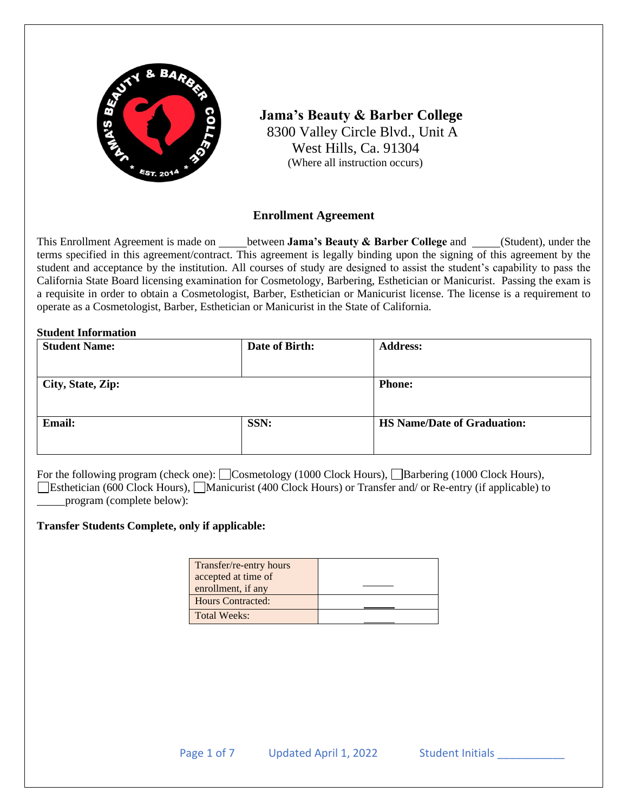

 **Jama's Beauty & Barber College** 8300 Valley Circle Blvd., Unit A West Hills, Ca. 91304 (Where all instruction occurs)

### **Enrollment Agreement**

This Enrollment Agreement is made on **between Jama's Beauty & Barber College** and **Collect** (Student), under the terms specified in this agreement/contract. This agreement is legally binding upon the signing of this agreement by the student and acceptance by the institution. All courses of study are designed to assist the student's capability to pass the California State Board licensing examination for Cosmetology, Barbering, Esthetician or Manicurist. Passing the exam is a requisite in order to obtain a Cosmetologist, Barber, Esthetician or Manicurist license. The license is a requirement to operate as a Cosmetologist, Barber, Esthetician or Manicurist in the State of California.

#### **Student Information**

| <b>Student Name:</b> | Date of Birth: | <b>Address:</b>                    |  |
|----------------------|----------------|------------------------------------|--|
|                      |                |                                    |  |
| City, State, Zip:    |                | <b>Phone:</b>                      |  |
|                      |                |                                    |  |
| Email:               | SSN:           | <b>HS Name/Date of Graduation:</b> |  |
|                      |                |                                    |  |
|                      |                |                                    |  |

For the following program (check one): Cosmetology (1000 Clock Hours), Charactering (1000 Clock Hours), Esthetician (600 Clock Hours), Manicurist (400 Clock Hours) or Transfer and/ or Re-entry (if applicable) to program (complete below):

#### **Transfer Students Complete, only if applicable:**

| Transfer/re-entry hours  |  |
|--------------------------|--|
| accepted at time of      |  |
| enrollment, if any       |  |
| <b>Hours Contracted:</b> |  |
| <b>Total Weeks:</b>      |  |
|                          |  |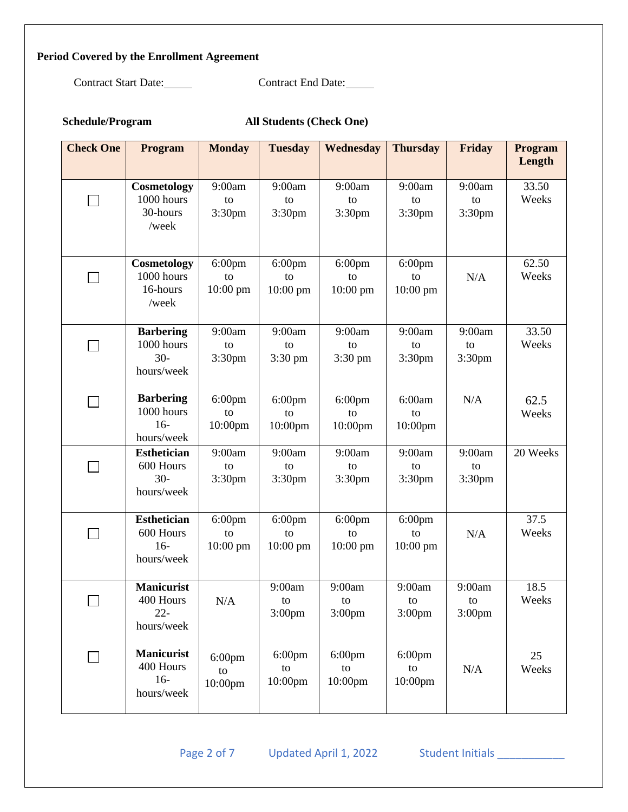# **Period Covered by the Enrollment Agreement**

Contract Start Date: Contract End Date:

| Schedule/Program |  |
|------------------|--|
|------------------|--|

All Students (Check One)

| <b>Check One</b> | <b>Program</b>                                          | <b>Monday</b>                 | <b>Tuesday</b>                     | Wednesday                          | <b>Thursday</b>                    | Friday                             | Program<br>Length |
|------------------|---------------------------------------------------------|-------------------------------|------------------------------------|------------------------------------|------------------------------------|------------------------------------|-------------------|
|                  | Cosmetology<br>1000 hours<br>30-hours<br>/week          | 9:00am<br>to<br>3:30pm        | 9:00am<br>to<br>3:30 <sub>pm</sub> | 9:00am<br>to<br>3:30pm             | 9:00am<br>to<br>3:30pm             | 9:00am<br>to<br>3:30pm             | 33.50<br>Weeks    |
|                  | Cosmetology<br>1000 hours<br>16-hours<br>/week          | $6:00$ pm<br>to<br>10:00 pm   | 6:00pm<br>to<br>$10:00$ pm         | $6:00$ pm<br>to<br>10:00 pm        | $6:00$ pm<br>to<br>$10:00$ pm      | N/A                                | 62.50<br>Weeks    |
|                  | <b>Barbering</b><br>1000 hours<br>$30 -$<br>hours/week  | 9:00am<br>to<br>3:30pm        | 9:00am<br>to<br>3:30 pm            | 9:00am<br>to<br>3:30 pm            | 9:00am<br>to<br>3:30 <sub>pm</sub> | 9:00am<br>to<br>3:30pm             | 33.50<br>Weeks    |
|                  | <b>Barbering</b><br>1000 hours<br>$16-$<br>hours/week   | $6:00$ pm<br>to<br>10:00pm    | $6:00$ pm<br>to<br>10:00pm         | $6:00$ pm<br>to<br>10:00pm         | 6:00am<br>to<br>10:00pm            | N/A                                | 62.5<br>Weeks     |
|                  | <b>Esthetician</b><br>600 Hours<br>$30 -$<br>hours/week | 9:00am<br>to<br>3:30pm        | 9:00am<br>to<br>3:30 <sub>pm</sub> | 9:00am<br>to<br>3:30pm             | 9:00am<br>to<br>3:30pm             | 9:00am<br>to<br>3:30pm             | 20 Weeks          |
|                  | <b>Esthetician</b><br>600 Hours<br>$16-$<br>hours/week  | $6:00$ pm<br>to<br>$10:00$ pm | $6:00$ pm<br>to<br>$10:00$ pm      | $6:00$ pm<br>to<br>$10:00$ pm      | $6:00$ pm<br>to<br>$10:00$ pm      | N/A                                | 37.5<br>Weeks     |
|                  | <b>Manicurist</b><br>400 Hours<br>$22 -$<br>hours/week  | $\rm N/A$                     | 9:00am<br>to<br>3:00 <sub>pm</sub> | 9:00am<br>to<br>3:00 <sub>pm</sub> | 9:00am<br>to<br>3:00 <sub>pm</sub> | 9:00am<br>to<br>3:00 <sub>pm</sub> | 18.5<br>Weeks     |
|                  | <b>Manicurist</b><br>400 Hours<br>$16-$<br>hours/week   | $6:00$ pm<br>to<br>10:00pm    | $6:00$ pm<br>to<br>10:00pm         | $6:00$ pm<br>to<br>10:00pm         | $6:00$ pm<br>${\rm to}$<br>10:00pm | N/A                                | 25<br>Weeks       |

Page 2 of 7 Updated April 1, 2022 Student Initials \_\_\_\_\_\_\_\_\_\_\_\_\_\_\_\_\_\_\_\_\_\_\_\_\_\_\_\_\_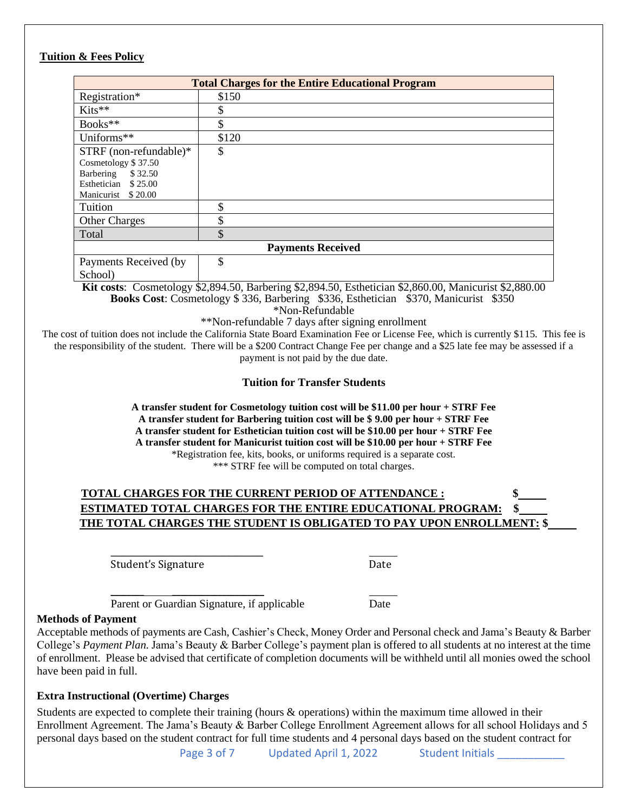### **Tuition & Fees Policy**

| <b>Total Charges for the Entire Educational Program</b> |          |  |  |  |
|---------------------------------------------------------|----------|--|--|--|
| Registration*                                           | \$150    |  |  |  |
| Kits**                                                  | \$       |  |  |  |
| Books**                                                 | \$       |  |  |  |
| Uniforms**                                              | \$120    |  |  |  |
| STRF (non-refundable)*                                  | \$       |  |  |  |
| Cosmetology \$37.50                                     |          |  |  |  |
| \$32.50<br>Barbering                                    |          |  |  |  |
| Esthetician<br>\$25.00                                  |          |  |  |  |
| Manicurist<br>\$20.00                                   |          |  |  |  |
| Tuition                                                 | Φ<br>JЭ  |  |  |  |
| <b>Other Charges</b>                                    | Φ<br>JЛ. |  |  |  |
| Total                                                   | \$       |  |  |  |
| <b>Payments Received</b>                                |          |  |  |  |
| Payments Received (by                                   | \$       |  |  |  |

School)

**Kit costs**: Cosmetology \$2,894.50, Barbering \$2,894.50, Esthetician \$2,860.00, Manicurist \$2,880.00 **Books Cost**: Cosmetology \$ 336, Barbering \$336, Esthetician \$370, Manicurist \$350 \*Non-Refundable

\*\*Non-refundable 7 days after signing enrollment

The cost of tuition does not include the California State Board Examination Fee or License Fee, which is currently \$115. This fee is the responsibility of the student. There will be a \$200 Contract Change Fee per change and a \$25 late fee may be assessed if a payment is not paid by the due date.

**Tuition for Transfer Students**

**A transfer student for Cosmetology tuition cost will be \$11.00 per hour + STRF Fee A transfer student for Barbering tuition cost will be \$ 9.00 per hour + STRF Fee A transfer student for Esthetician tuition cost will be \$10.00 per hour + STRF Fee A transfer student for Manicurist tuition cost will be \$10.00 per hour + STRF Fee** \*Registration fee, kits, books, or uniforms required is a separate cost. \*\*\* STRF fee will be computed on total charges.

# **TOTAL CHARGES FOR THE CURRENT PERIOD OF ATTENDANCE : \$ ESTIMATED TOTAL CHARGES FOR THE ENTIRE EDUCATIONAL PROGRAM: \$ THE TOTAL CHARGES THE STUDENT IS OBLIGATED TO PAY UPON ENROLLMENT: \$**

\_\_\_\_\_\_\_\_\_\_\_\_\_\_\_\_\_\_\_\_\_\_\_\_\_\_\_ Student's Signature Date

Parent or Guardian Signature, if applicable Date

 $\overline{\phantom{a}}$  , where  $\overline{\phantom{a}}$  , where  $\overline{\phantom{a}}$  , where  $\overline{\phantom{a}}$ 

#### **Methods of Payment**

Acceptable methods of payments are Cash, Cashier's Check, Money Order and Personal check and Jama's Beauty & Barber College's *Payment Plan.* Jama's Beauty & Barber College's payment plan is offered to all students at no interest at the time of enrollment. Please be advised that certificate of completion documents will be withheld until all monies owed the school have been paid in full.

### **Extra Instructional (Overtime) Charges**

Students are expected to complete their training (hours & operations) within the maximum time allowed in their Enrollment Agreement. The Jama's Beauty & Barber College Enrollment Agreement allows for all school Holidays and 5 personal days based on the student contract for full time students and 4 personal days based on the student contract for

Page 3 of 7 Updated April 1, 2022 Student Initials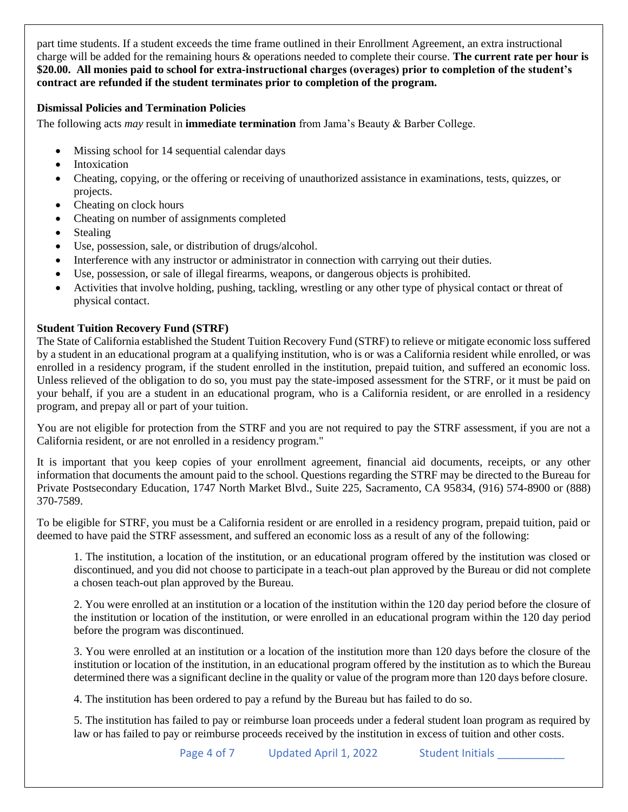part time students. If a student exceeds the time frame outlined in their Enrollment Agreement, an extra instructional charge will be added for the remaining hours & operations needed to complete their course. **The current rate per hour is \$20.00. All monies paid to school for extra-instructional charges (overages) prior to completion of the student's contract are refunded if the student terminates prior to completion of the program.**

### **Dismissal Policies and Termination Policies**

The following acts *may* result in **immediate termination** from Jama's Beauty & Barber College.

- Missing school for 14 sequential calendar days
- **Intoxication**
- Cheating, copying, or the offering or receiving of unauthorized assistance in examinations, tests, quizzes, or projects.
- Cheating on clock hours
- Cheating on number of assignments completed
- **Stealing**
- Use, possession, sale, or distribution of drugs/alcohol.
- Interference with any instructor or administrator in connection with carrying out their duties.
- Use, possession, or sale of illegal firearms, weapons, or dangerous objects is prohibited.
- Activities that involve holding, pushing, tackling, wrestling or any other type of physical contact or threat of physical contact.

# **Student Tuition Recovery Fund (STRF)**

The State of California established the Student Tuition Recovery Fund (STRF) to relieve or mitigate economic loss suffered by a student in an educational program at a qualifying institution, who is or was a California resident while enrolled, or was enrolled in a residency program, if the student enrolled in the institution, prepaid tuition, and suffered an economic loss. Unless relieved of the obligation to do so, you must pay the state-imposed assessment for the STRF, or it must be paid on your behalf, if you are a student in an educational program, who is a California resident, or are enrolled in a residency program, and prepay all or part of your tuition.

You are not eligible for protection from the STRF and you are not required to pay the STRF assessment, if you are not a California resident, or are not enrolled in a residency program."

It is important that you keep copies of your enrollment agreement, financial aid documents, receipts, or any other information that documents the amount paid to the school. Questions regarding the STRF may be directed to the Bureau for Private Postsecondary Education, 1747 North Market Blvd., Suite 225, Sacramento, CA 95834, (916) 574-8900 or (888) 370-7589.

To be eligible for STRF, you must be a California resident or are enrolled in a residency program, prepaid tuition, paid or deemed to have paid the STRF assessment, and suffered an economic loss as a result of any of the following:

1. The institution, a location of the institution, or an educational program offered by the institution was closed or discontinued, and you did not choose to participate in a teach-out plan approved by the Bureau or did not complete a chosen teach-out plan approved by the Bureau.

2. You were enrolled at an institution or a location of the institution within the 120 day period before the closure of the institution or location of the institution, or were enrolled in an educational program within the 120 day period before the program was discontinued.

3. You were enrolled at an institution or a location of the institution more than 120 days before the closure of the institution or location of the institution, in an educational program offered by the institution as to which the Bureau determined there was a significant decline in the quality or value of the program more than 120 days before closure.

4. The institution has been ordered to pay a refund by the Bureau but has failed to do so.

5. The institution has failed to pay or reimburse loan proceeds under a federal student loan program as required by law or has failed to pay or reimburse proceeds received by the institution in excess of tuition and other costs.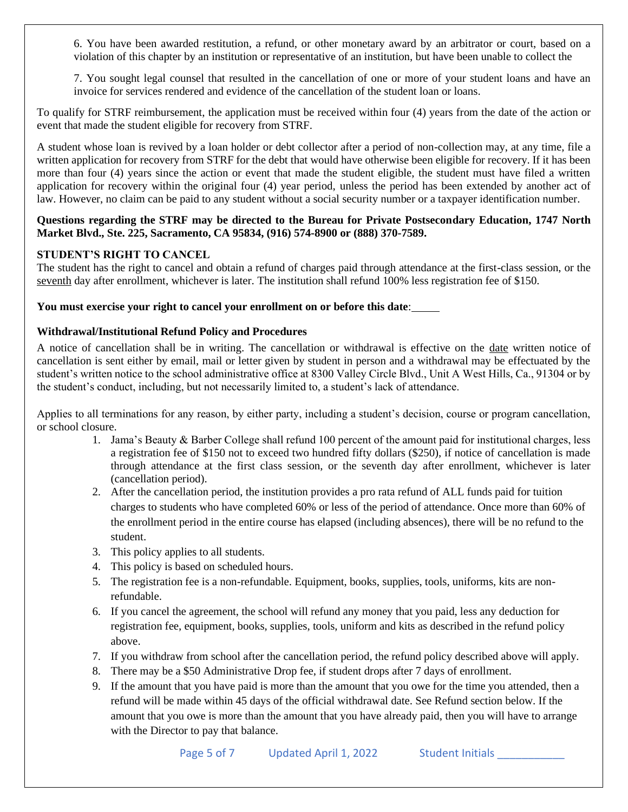6. You have been awarded restitution, a refund, or other monetary award by an arbitrator or court, based on a violation of this chapter by an institution or representative of an institution, but have been unable to collect the

7. You sought legal counsel that resulted in the cancellation of one or more of your student loans and have an invoice for services rendered and evidence of the cancellation of the student loan or loans.

To qualify for STRF reimbursement, the application must be received within four (4) years from the date of the action or event that made the student eligible for recovery from STRF.

A student whose loan is revived by a loan holder or debt collector after a period of non-collection may, at any time, file a written application for recovery from STRF for the debt that would have otherwise been eligible for recovery. If it has been more than four (4) years since the action or event that made the student eligible, the student must have filed a written application for recovery within the original four (4) year period, unless the period has been extended by another act of law. However, no claim can be paid to any student without a social security number or a taxpayer identification number.

#### **Questions regarding the STRF may be directed to the Bureau for Private Postsecondary Education, 1747 North Market Blvd., Ste. 225, Sacramento, CA 95834, (916) 574-8900 or (888) 370-7589.**

#### **STUDENT'S RIGHT TO CANCEL**

The student has the right to cancel and obtain a refund of charges paid through attendance at the first-class session, or the seventh day after enrollment, whichever is later. The institution shall refund 100% less registration fee of \$150.

#### **You must exercise your right to cancel your enrollment on or before this date**:

#### **Withdrawal/Institutional Refund Policy and Procedures**

A notice of cancellation shall be in writing. The cancellation or withdrawal is effective on the date written notice of cancellation is sent either by email, mail or letter given by student in person and a withdrawal may be effectuated by the student's written notice to the school administrative office at 8300 Valley Circle Blvd., Unit A West Hills, Ca., 91304 or by the student's conduct, including, but not necessarily limited to, a student's lack of attendance.

Applies to all terminations for any reason, by either party, including a student's decision, course or program cancellation, or school closure.

- 1. Jama's Beauty & Barber College shall refund 100 percent of the amount paid for institutional charges, less a registration fee of \$150 not to exceed two hundred fifty dollars (\$250), if notice of cancellation is made through attendance at the first class session, or the seventh day after enrollment, whichever is later (cancellation period).
- 2. After the cancellation period, the institution provides a pro rata refund of ALL funds paid for tuition charges to students who have completed 60% or less of the period of attendance. Once more than 60% of the enrollment period in the entire course has elapsed (including absences), there will be no refund to the student.
- 3. This policy applies to all students.
- 4. This policy is based on scheduled hours.
- 5. The registration fee is a non-refundable. Equipment, books, supplies, tools, uniforms, kits are nonrefundable.
- 6. If you cancel the agreement, the school will refund any money that you paid, less any deduction for registration fee, equipment, books, supplies, tools, uniform and kits as described in the refund policy above.
- 7. If you withdraw from school after the cancellation period, the refund policy described above will apply.
- 8. There may be a \$50 Administrative Drop fee, if student drops after 7 days of enrollment.
- 9. If the amount that you have paid is more than the amount that you owe for the time you attended, then a refund will be made within 45 days of the official withdrawal date. See Refund section below. If the amount that you owe is more than the amount that you have already paid, then you will have to arrange with the Director to pay that balance.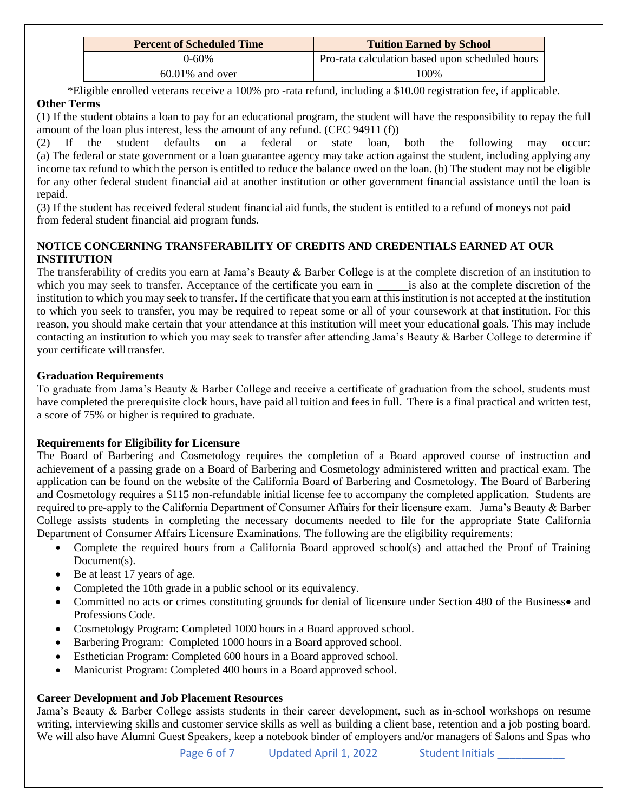| <b>Percent of Scheduled Time</b> | <b>Tuition Earned by School</b>                 |
|----------------------------------|-------------------------------------------------|
| $0 - 60%$                        | Pro-rata calculation based upon scheduled hours |
| $60.01\%$ and over               | 100%                                            |

\*Eligible enrolled veterans receive a 100% pro -rata refund, including a \$10.00 registration fee, if applicable.

### **Other Terms**

(1) If the student obtains a loan to pay for an educational program, the student will have the responsibility to repay the full amount of the loan plus interest, less the amount of any refund. (CEC 94911 (f))

(2) If the student defaults on a federal or state loan, both the following may occur: (a) The federal or state government or a loan guarantee agency may take action against the student, including applying any income tax refund to which the person is entitled to reduce the balance owed on the loan. (b) The student may not be eligible for any other federal student financial aid at another institution or other government financial assistance until the loan is repaid.

(3) If the student has received federal student financial aid funds, the student is entitled to a refund of moneys not paid from federal student financial aid program funds.

### **NOTICE CONCERNING TRANSFERABILITY OF CREDITS AND CREDENTIALS EARNED AT OUR INSTITUTION**

The transferability of credits you earn at Jama's Beauty & Barber College is at the complete discretion of an institution to which you may seek to transfer. Acceptance of the certificate you earn in is also at the complete discretion of the institution to which you may seek to transfer. If the certificate that you earn at this institution is not accepted at the institution to which you seek to transfer, you may be required to repeat some or all of your coursework at that institution. For this reason, you should make certain that your attendance at this institution will meet your educational goals. This may include contacting an institution to which you may seek to transfer after attending Jama's Beauty & Barber College to determine if your certificate will transfer.

### **Graduation Requirements**

To graduate from Jama's Beauty & Barber College and receive a certificate of graduation from the school, students must have completed the prerequisite clock hours, have paid all tuition and fees in full. There is a final practical and written test, a score of 75% or higher is required to graduate.

# **Requirements for Eligibility for Licensure**

The Board of Barbering and Cosmetology requires the completion of a Board approved course of instruction and achievement of a passing grade on a Board of Barbering and Cosmetology administered written and practical exam. The application can be found on the website of the California Board of Barbering and Cosmetology. The Board of Barbering and Cosmetology requires a \$115 non-refundable initial license fee to accompany the completed application. Students are required to pre-apply to the California Department of Consumer Affairs for their licensure exam. Jama's Beauty & Barber College assists students in completing the necessary documents needed to file for the appropriate State California Department of Consumer Affairs Licensure Examinations. The following are the eligibility requirements:

- Complete the required hours from a California Board approved school(s) and attached the Proof of Training Document(s).
- Be at least 17 years of age.
- Completed the 10th grade in a public school or its equivalency.
- Committed no acts or crimes constituting grounds for denial of licensure under Section 480 of the Business• and Professions Code.
- Cosmetology Program: Completed 1000 hours in a Board approved school.
- Barbering Program: Completed 1000 hours in a Board approved school.
- Esthetician Program: Completed 600 hours in a Board approved school.
- Manicurist Program: Completed 400 hours in a Board approved school.

# **Career Development and Job Placement Resources**

Jama's Beauty & Barber College assists students in their career development, such as in-school workshops on resume writing, interviewing skills and customer service skills as well as building a client base, retention and a job posting board. We will also have Alumni Guest Speakers, keep a notebook binder of employers and/or managers of Salons and Spas who